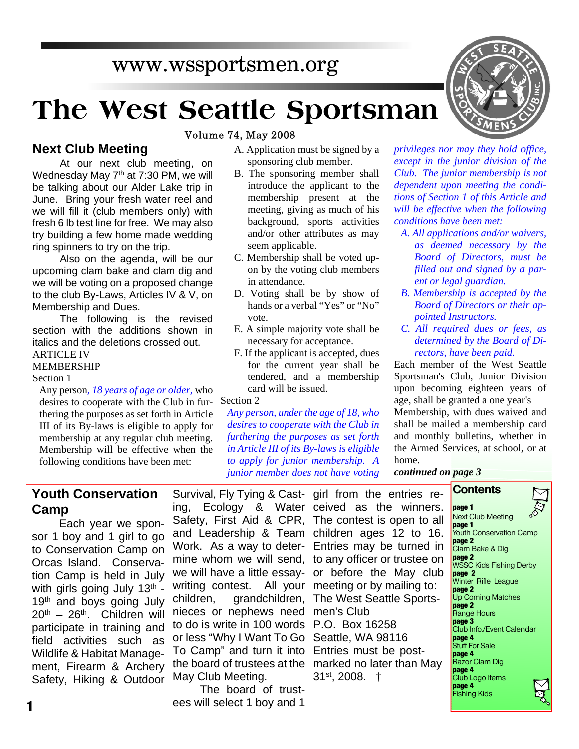# **The West Seattle Sportsman**

**Volume 74, May 2008** 

**Next Club Meeting**

At our next club meeting, on Wednesday May  $7<sup>th</sup>$  at 7:30 PM, we will be talking about our Alder Lake trip in June. Bring your fresh water reel and we will fill it (club members only) with fresh 6 lb test line for free. We may also try building a few home made wedding ring spinners to try on the trip.

Also on the agenda, will be our upcoming clam bake and clam dig and we will be voting on a proposed change to the club By-Laws, Articles IV & V, on Membership and Dues.

The following is the revised section with the additions shown in italics and the deletions crossed out. ARTICLE IV

MEMBERSHIP

Section 1

Any person*, 18 years of age or older,* who desires to cooperate with the Club in furthering the purposes as set forth in Article III of its By-laws is eligible to apply for membership at any regular club meeting. Membership will be effective when the following conditions have been met:

- A. Application must be signed by a sponsoring club member.
- B. The sponsoring member shall introduce the applicant to the membership present at the meeting, giving as much of his background, sports activities and/or other attributes as may seem applicable.
- C. Membership shall be voted upon by the voting club members in attendance.
- D. Voting shall be by show of hands or a verbal "Yes" or "No" vote.
- E. A simple majority vote shall be necessary for acceptance.
- F. If the applicant is accepted, dues for the current year shall be tendered, and a membership card will be issued.

Section 2

*Any person, under the age of 18, who desires to cooperate with the Club in furthering the purposes as set forth in Article III of its By-laws is eligible to apply for junior membership. A junior member does not have voting* *privileges nor may they hold office, except in the junior division of the Club. The junior membership is not dependent upon meeting the conditions of Section 1 of this Article and will be effective when the following conditions have been met:*

- *A. All applications and/or waivers, as deemed necessary by the Board of Directors, must be filled out and signed by a parent or legal guardian.*
- *B. Membership is accepted by the Board of Directors or their appointed Instructors.*
- *C. All required dues or fees, as determined by the Board of Directors, have been paid.*

Each member of the West Seattle Sportsman's Club, Junior Division upon becoming eighteen years of age, shall be granted a one year's Membership, with dues waived and shall be mailed a membership card and monthly bulletins, whether in the Armed Services, at school, or at home.

**Contents**

*continued on page 3*

### **Youth Conservation Camp**

Each year we sponsor 1 boy and 1 girl to go to Conservation Camp on Orcas Island. Conservation Camp is held in July with girls going July  $13<sup>th</sup>$  -19<sup>th</sup> and boys going July  $20^{th}$  –  $26^{th}$ . Children will participate in training and field activities such as Wildlife & Habitat Management, Firearm & Archery Safety, Hiking & Outdoor

ing, Ecology & Water ceived as the winners. Safety, First Aid & CPR, The contest is open to all and Leadership & Team children ages 12 to 16. Work. As a way to deter-Entries may be turned in mine whom we will send, to any officer or trustee on we will have a little essay-or before the May club writing contest. All your meeting or by mailing to: children, grandchildren, The West Seattle Sportsnieces or nephews need men's Club to do is write in 100 words P.O. Box 16258 or less "Why I Want To Go Seattle, WA 98116 To Camp" and turn it into Entries must be postthe board of trustees at the marked no later than May May Club Meeting.

The board of trustees will select 1 boy and 1

Survival, Fly Tying & Cast-girl from the entries re-31st, 2008. †

**page 1** Next Club Meeting **page 1** Youth Conservation Camp **page 2** Clam Bake & Dig **page 2** WSSC Kids Fishing Derby **page 2** Winter Rifle League **page 2** Up Coming Matches **page 2** Range Hours **page 3** Club Info./Event Calendar **page 4** Stuff For Sale **page 4** Razor Clam Dig **page 4** .<br>Club Logo Items **page 4** Fishing Kids

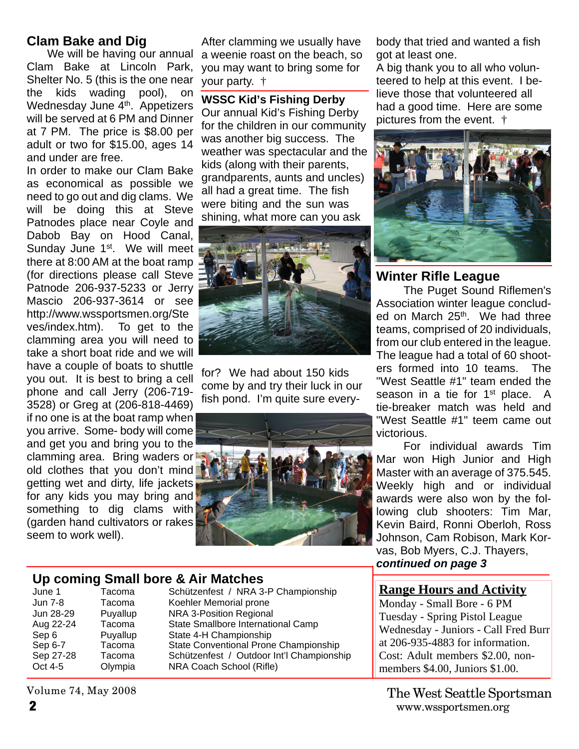### **Clam Bake and Dig**

Clam Bake at Lincoln Park, Shelter No. 5 (this is the one near the kids wading pool), on Wednesday June 4<sup>th</sup>. Appetizers will be served at 6 PM and Dinner at 7 PM. The price is \$8.00 per adult or two for \$15.00, ages 14 and under are free.

In order to make our Clam Bake as economical as possible we need to go out and dig clams. We will be doing this at Steve Patnodes place near Coyle and Dabob Bay on Hood Canal, Sunday June 1<sup>st</sup>. We will meet there at 8:00 AM at the boat ramp (for directions please call Steve Patnode 206-937-5233 or Jerry Mascio 206-937-3614 or see http://www.wssportsmen.org/Ste ves/index.htm). To get to the clamming area you will need to take a short boat ride and we will have a couple of boats to shuttle you out. It is best to bring a cell phone and call Jerry (206-719- 3528) or Greg at (206-818-4469)

if no one is at the boat ramp when you arrive. Some- body will come and get you and bring you to the clamming area. Bring waders or old clothes that you don't mind getting wet and dirty, life jackets for any kids you may bring and something to dig clams with (garden hand cultivators or rakes seem to work well).

We will be having our annual a weenie roast on the beach, so After clamming we usually have you may want to bring some for your party. †

> **WSSC Kid's Fishing Derby** Our annual Kid's Fishing Derby for the children in our community was another big success. The weather was spectacular and the kids (along with their parents, grandparents, aunts and uncles) all had a great time. The fish were biting and the sun was shining, what more can you ask



for? We had about 150 kids come by and try their luck in our fish pond. I'm quite sure every-



body that tried and wanted a fish got at least one.

A big thank you to all who volunteered to help at this event. I believe those that volunteered all had a good time. Here are some pictures from the event. †



### **Winter Rifle League**

The Puget Sound Riflemen's Association winter league concluded on March 25<sup>th</sup>. We had three teams, comprised of 20 individuals, from our club entered in the league. The league had a total of 60 shooters formed into 10 teams. The "West Seattle #1" team ended the season in a tie for 1<sup>st</sup> place. A tie-breaker match was held and "West Seattle #1" teem came out victorious.

For individual awards Tim Mar won High Junior and High Master with an average of 375.545. Weekly high and or individual awards were also won by the following club shooters: Tim Mar, Kevin Baird, Ronni Oberloh, Ross Johnson, Cam Robison, Mark Korvas, Bob Myers, C.J. Thayers, *continued on page 3*

**Range Hours and Activity** Monday - Small Bore - 6 PM Tuesday - Spring Pistol League Wednesday - Juniors - Call Fred Burr at 206-935-4883 for information. Cost: Adult members \$2.00, nonmembers \$4.00, Juniors \$1.00.

### **Up coming Small bore & Air Matches**

| June 1    | Tacoma   | Schützenfest / NRA 3-P          |
|-----------|----------|---------------------------------|
| Jun 7-8   | Tacoma   | Koehler Memorial prone          |
| Jun 28-29 | Puyallup | <b>NRA 3-Position Regional</b>  |
| Aug 22-24 | Tacoma   | State Smallbore Internatio      |
| Sep 6     | Puyallup | State 4-H Championship          |
| Sep 6-7   | Tacoma   | <b>State Conventional Prone</b> |
| Sep 27-28 | Tacoma   | Schützenfest / Outdoor In       |
| Oct 4-5   | Olympia  | NRA Coach School (Rifle)        |
|           |          |                                 |

| June 1    | Tacoma   | Schützenfest / NRA 3-P Championship       |
|-----------|----------|-------------------------------------------|
| Jun 7-8   | Tacoma   | Koehler Memorial prone                    |
| Jun 28-29 | Puyallup | NRA 3-Position Regional                   |
| Aug 22-24 | Tacoma   | State Smallbore International Camp        |
| Sep 6     | Puyallup | State 4-H Championship                    |
| Sep 6-7   | Tacoma   | State Conventional Prone Championship     |
| Sep 27-28 | Tacoma   | Schützenfest / Outdoor Int'l Championship |
| Oct 4-5   | Olympia  | NRA Coach School (Rifle)                  |
|           |          |                                           |

Volume 74, May 2008

**2** www.wssportsmen.org The West Seattle Sportsman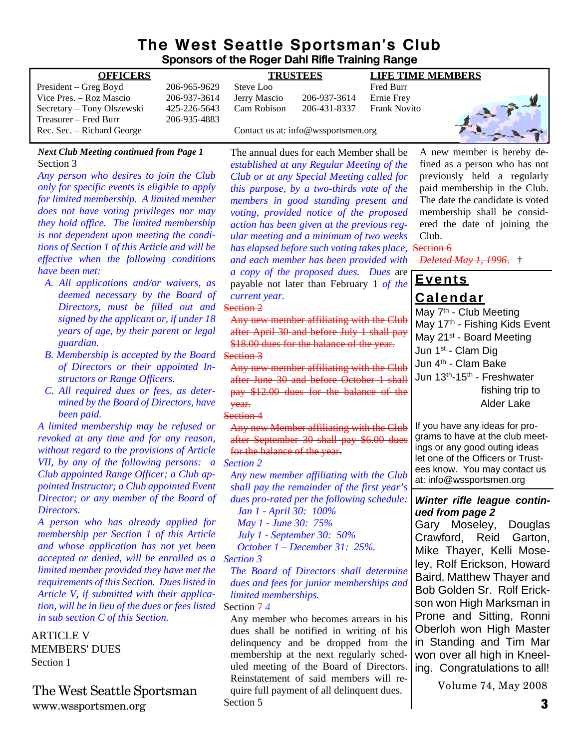### **The West Seattle Sportsman's Club Sponsors of the Roger Dahl Rifle Training Range**

| <b>OFFICERS</b>            |              | <b>TRUSTEES</b> |                                     | <b>LIFE TIME MEMBERS</b> |  |
|----------------------------|--------------|-----------------|-------------------------------------|--------------------------|--|
| President – Greg Boyd      | 206-965-9629 | Steve Loo       |                                     | Fred Burr                |  |
| Vice Pres. – Roz Mascio    | 206-937-3614 | Jerry Mascio    | 206-937-3614                        | Ernie Frey               |  |
| Secretary – Tony Olszewski | 425-226-5643 | Cam Robison     | 206-431-8337                        | <b>Frank Novito</b>      |  |
| Treasurer – Fred Burr      | 206-935-4883 |                 |                                     |                          |  |
| Rec. Sec. – Richard George |              |                 | Contact us at: info@wssportsmen.org |                          |  |

#### *Next Club Meeting continued from Page 1* Section 3

*Any person who desires to join the Club only for specific events is eligible to apply for limited membership. A limited member does not have voting privileges nor may they hold office. The limited membership is not dependent upon meeting the conditions of Section 1 of this Article and will be effective when the following conditions have been met:*

- *A. All applications and/or waivers, as deemed necessary by the Board of Directors, must be filled out and signed by the applicant or, if under 18 years of age, by their parent or legal guardian.*
- *B. Membership is accepted by the Board of Directors or their appointed Instructors or Range Officers.*
- *C. All required dues or fees, as determined by the Board of Directors, have been paid.*

*A limited membership may be refused or revoked at any time and for any reason, without regard to the provisions of Article VII, by any of the following persons: a Section 2 Club appointed Range Officer; a Club appointed Instructor; a Club appointed Event Director; or any member of the Board of Directors.*

*A person who has already applied for membership per Section 1 of this Article and whose application has not yet been accepted or denied, will be enrolled as a limited member provided they have met the requirements of this Section. Dues listed in Article V, if submitted with their application, will be in lieu of the dues or fees listed in sub section C of this Section.*

ARTICLE V MEMBERS' DUES Section 1

www.wssportsmen.org Section 5 and Section 5 and 3 and 3 and 3 and 3 and 3 and 3 and 3 and 3 and 3 and 3 and 3 and 3 and 3 and 3 and 3 and 3 and 3 and 3 and 3 and 3 and 3 and 3 and 3 and 3 and 3 and 3 and 3 and 3 and 3 and The West Seattle Sportsman

The annual dues for each Member shall be *established at any Regular Meeting of the Club or at any Special Meeting called for this purpose, by a two-thirds vote of the members in good standing present and voting, provided notice of the proposed action has been given at the previous regular meeting and a minimum of two weeks has elapsed before such voting takes place,* Section 6 *and each member has been provided with a copy of the proposed dues. Dues* are payable not later than February 1 *of the current year.*

#### Section<sub>2</sub>

Any new after April 30 and before July 1 shall pay \$18.00 dues for the balance of the year. Section 3

Any new member affiliating with the Club after June 30 and before October 1 pay \$12.00 dues for the balance year.

#### Section 4

Any new Member affiliating with the Club after September 30 shall pay \$6.00 due for the balance of the year.

*Any new member affiliating with the Club shall pay the remainder of the first year's dues pro-rated per the following schedule:*

*Jan 1 - April 30: 100% May 1 - June 30: 75%*

*July 1 - September 30: 50%*

*October 1 – December 31: 25%. Section 3*

*The Board of Directors shall determine dues and fees for junior memberships and limited memberships.* Section 7 *4*

Any member who becomes arrears in his dues shall be notified in writing of his delinquency and be dropped from the membership at the next regularly scheduled meeting of the Board of Directors. Reinstatement of said members will require full payment of all delinquent dues. Section 5

A new member is hereby defined as a person who has not previously held a regularly paid membership in the Club. The date the candidate is voted membership shall be considered the date of joining the Club.

*Deleted May 1, 1996*. †

### **Events Calendar**

May 7<sup>th</sup> - Club Meeting May 17<sup>th</sup> - Fishing Kids Event May 21<sup>st</sup> - Board Meeting Jun 1st - Clam Dig Jun 4th - Clam Bake Jun 13<sup>th</sup>-15<sup>th</sup> - Freshwater fishing trip to Alder Lake

If you have any ideas for programs to have at the club meetings or any good outing ideas let one of the Officers or Trustees know. You may contact us at: info@wssportsmen.org

### *Winter rifle league continued from page 2*

Gary Moseley, Douglas Crawford, Reid Garton, Mike Thayer, Kelli Moseley, Rolf Erickson, Howard Baird, Matthew Thayer and Bob Golden Sr. Rolf Erickson won High Marksman in Prone and Sitting, Ronni Oberloh won High Master in Standing and Tim Mar won over all high in Kneeling. Congratulations to all!

Volume 74, May 2008